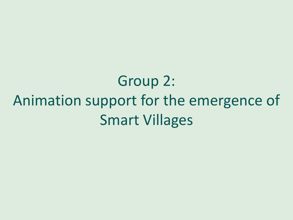Group 2: Animation support for the emergence of Smart Villages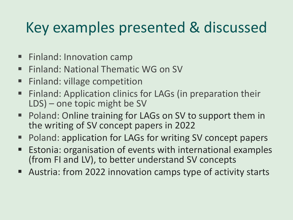## Key examples presented & discussed

- Finland: Innovation camp
- **Finland: National Thematic WG on SV**
- Finland: village competition
- Finland: Application clinics for LAGs (in preparation their LDS) – one topic might be SV
- Poland: Online training for LAGs on SV to support them in the writing of SV concept papers in 2022
- Poland: application for LAGs for writing SV concept papers
- Estonia: organisation of events with international examples (from FI and LV), to better understand SV concepts
- Austria: from 2022 innovation camps type of activity starts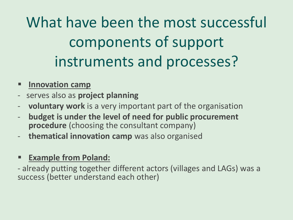What have been the most successful components of support instruments and processes?

- **Innovation camp**
- serves also as **project planning**
- **voluntary work** is a very important part of the organisation
- **budget is under the level of need for public procurement procedure** (choosing the consultant company)
- **thematical innovation camp** was also organised

## ▪ **Example from Poland:**

- already putting together different actors (villages and LAGs) was a success (better understand each other)